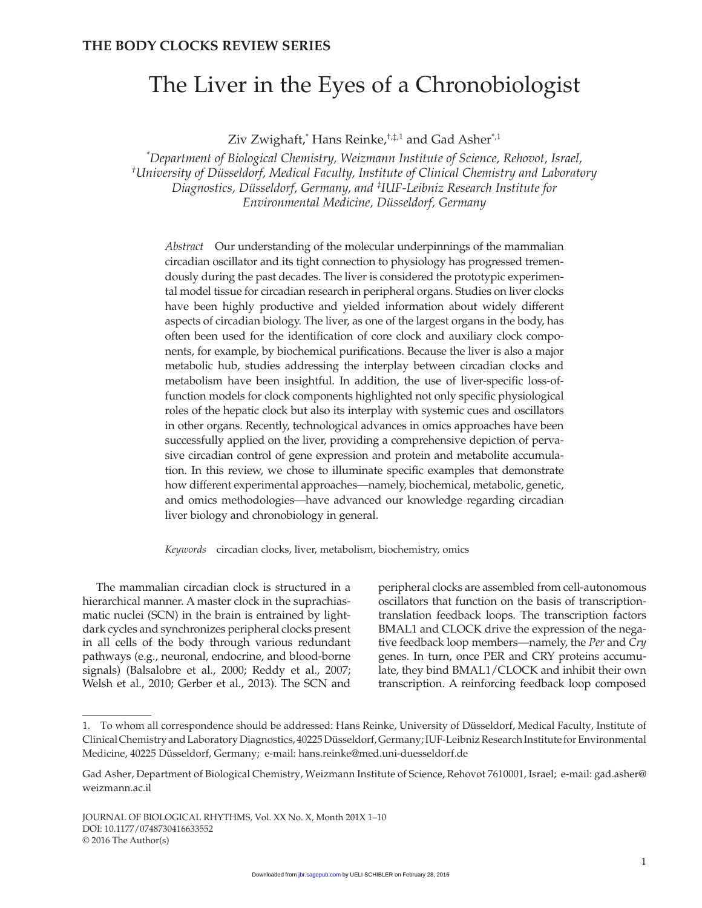# **THE BODY CLOCKS REVIEW SERIES**

# The Liver in the Eyes of a Chronobiologist

Ziv Zwighaft,<sup>\*</sup> Hans Reinke,<sup>†,‡,1</sup> and Gad Asher<sup>\*,1</sup>

*\* Department of Biological Chemistry, Weizmann Institute of Science, Rehovot, Israel, † University of Düsseldorf, Medical Faculty, Institute of Clinical Chemistry and Laboratory Diagnostics, Düsseldorf, Germany, and ‡ IUF-Leibniz Research Institute for Environmental Medicine, Düsseldorf, Germany*

*Abstract* Our understanding of the molecular underpinnings of the mammalian circadian oscillator and its tight connection to physiology has progressed tremendously during the past decades. The liver is considered the prototypic experimental model tissue for circadian research in peripheral organs. Studies on liver clocks have been highly productive and yielded information about widely different aspects of circadian biology. The liver, as one of the largest organs in the body, has often been used for the identification of core clock and auxiliary clock components, for example, by biochemical purifications. Because the liver is also a major metabolic hub, studies addressing the interplay between circadian clocks and metabolism have been insightful. In addition, the use of liver-specific loss-offunction models for clock components highlighted not only specific physiological roles of the hepatic clock but also its interplay with systemic cues and oscillators in other organs. Recently, technological advances in omics approaches have been successfully applied on the liver, providing a comprehensive depiction of pervasive circadian control of gene expression and protein and metabolite accumulation. In this review, we chose to illuminate specific examples that demonstrate how different experimental approaches—namely, biochemical, metabolic, genetic, and omics methodologies—have advanced our knowledge regarding circadian liver biology and chronobiology in general.

*Keywords* circadian clocks, liver, metabolism, biochemistry, omics

The mammalian circadian clock is structured in a hierarchical manner. A master clock in the suprachiasmatic nuclei (SCN) in the brain is entrained by lightdark cycles and synchronizes peripheral clocks present in all cells of the body through various redundant pathways (e.g., neuronal, endocrine, and blood-borne signals) (Balsalobre et al., 2000; Reddy et al., 2007; Welsh et al., 2010; Gerber et al., 2013). The SCN and

peripheral clocks are assembled from cell-autonomous oscillators that function on the basis of transcriptiontranslation feedback loops. The transcription factors BMAL1 and CLOCK drive the expression of the negative feedback loop members—namely, the *Per* and *Cry* genes. In turn, once PER and CRY proteins accumulate, they bind BMAL1/CLOCK and inhibit their own transcription. A reinforcing feedback loop composed

<sup>1.</sup> To whom all correspondence should be addressed: Hans Reinke, University of Düsseldorf, Medical Faculty, Institute of Clinical Chemistry and Laboratory Diagnostics, 40225 Düsseldorf, Germany; IUF-Leibniz Research Institute for Environmental Medicine, 40225 Düsseldorf, Germany; e-mail: [hans.reinke@med.uni-duesseldorf.de](mailto:hans.reinke@med.uni-duesseldorf.de)

Gad Asher, Department of Biological Chemistry, Weizmann Institute of Science, Rehovot 7610001, Israel; e-mail: [gad.asher@](mailto:gad.asher@weizmann.ac.il) [weizmann.ac.il](mailto:gad.asher@weizmann.ac.il)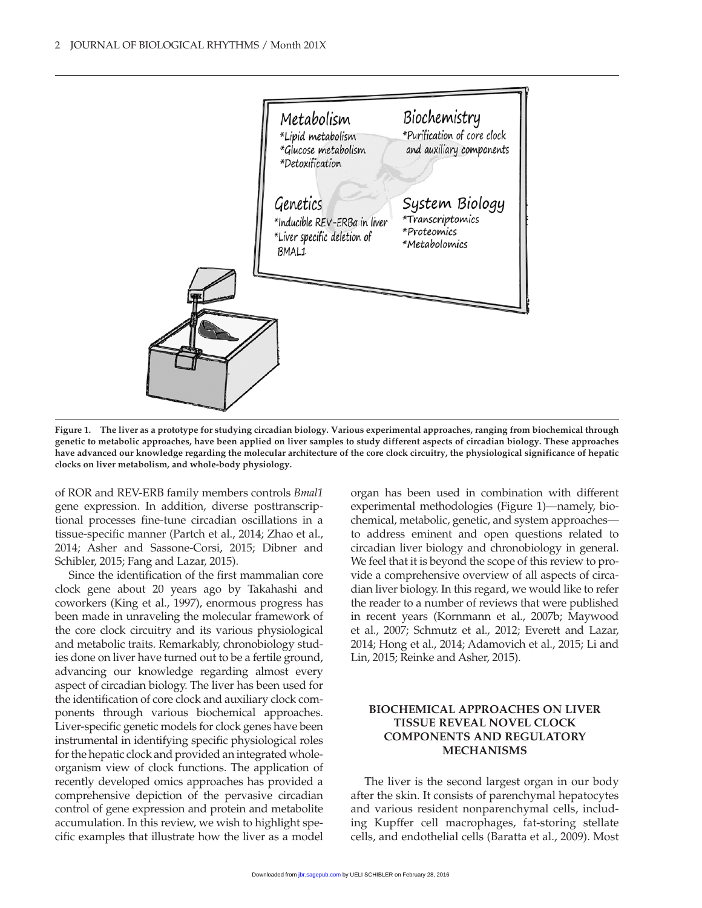

**Figure 1. The liver as a prototype for studying circadian biology. Various experimental approaches, ranging from biochemical through genetic to metabolic approaches, have been applied on liver samples to study different aspects of circadian biology. These approaches have advanced our knowledge regarding the molecular architecture of the core clock circuitry, the physiological significance of hepatic clocks on liver metabolism, and whole-body physiology.**

of ROR and REV-ERB family members controls *Bmal1* gene expression. In addition, diverse posttranscriptional processes fine-tune circadian oscillations in a tissue-specific manner (Partch et al., 2014; Zhao et al., 2014; Asher and Sassone-Corsi, 2015; Dibner and Schibler, 2015; Fang and Lazar, 2015).

Since the identification of the first mammalian core clock gene about 20 years ago by Takahashi and coworkers (King et al., 1997), enormous progress has been made in unraveling the molecular framework of the core clock circuitry and its various physiological and metabolic traits. Remarkably, chronobiology studies done on liver have turned out to be a fertile ground, advancing our knowledge regarding almost every aspect of circadian biology. The liver has been used for the identification of core clock and auxiliary clock components through various biochemical approaches. Liver-specific genetic models for clock genes have been instrumental in identifying specific physiological roles for the hepatic clock and provided an integrated wholeorganism view of clock functions. The application of recently developed omics approaches has provided a comprehensive depiction of the pervasive circadian control of gene expression and protein and metabolite accumulation. In this review, we wish to highlight specific examples that illustrate how the liver as a model organ has been used in combination with different experimental methodologies (Figure 1)—namely, biochemical, metabolic, genetic, and system approaches to address eminent and open questions related to circadian liver biology and chronobiology in general. We feel that it is beyond the scope of this review to provide a comprehensive overview of all aspects of circadian liver biology. In this regard, we would like to refer the reader to a number of reviews that were published in recent years (Kornmann et al., 2007b; Maywood et al., 2007; Schmutz et al., 2012; Everett and Lazar, 2014; Hong et al., 2014; Adamovich et al., 2015; Li and Lin, 2015; Reinke and Asher, 2015).

## **Biochemical Approaches on Liver Tissue Reveal Novel Clock Components and Regulatory Mechanisms**

The liver is the second largest organ in our body after the skin. It consists of parenchymal hepatocytes and various resident nonparenchymal cells, including Kupffer cell macrophages, fat-storing stellate cells, and endothelial cells (Baratta et al., 2009). Most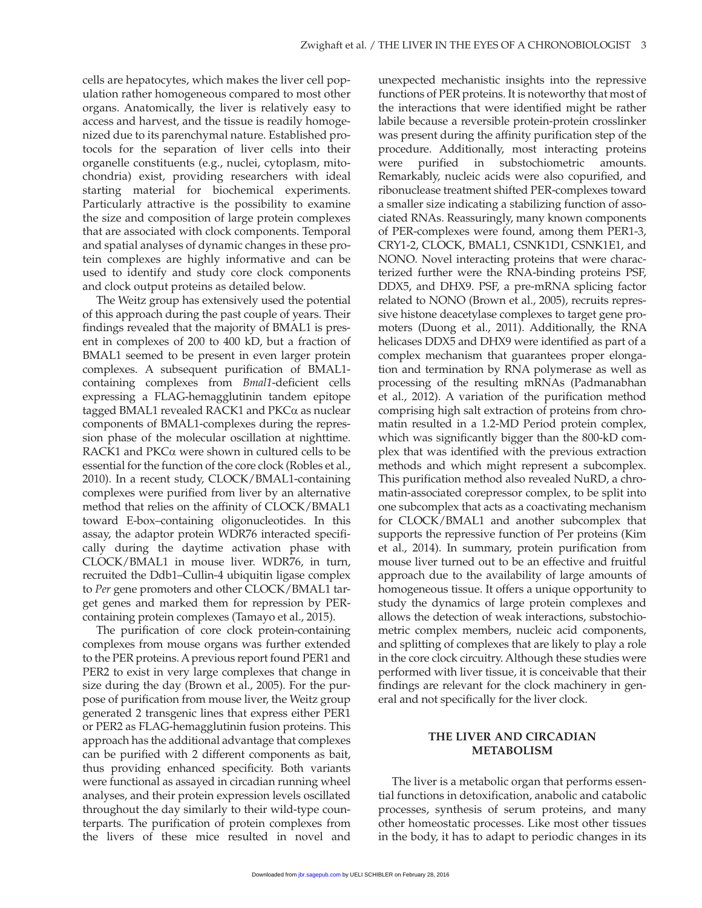cells are hepatocytes, which makes the liver cell population rather homogeneous compared to most other organs. Anatomically, the liver is relatively easy to access and harvest, and the tissue is readily homogenized due to its parenchymal nature. Established protocols for the separation of liver cells into their organelle constituents (e.g., nuclei, cytoplasm, mitochondria) exist, providing researchers with ideal starting material for biochemical experiments. Particularly attractive is the possibility to examine the size and composition of large protein complexes that are associated with clock components. Temporal and spatial analyses of dynamic changes in these protein complexes are highly informative and can be used to identify and study core clock components and clock output proteins as detailed below.

The Weitz group has extensively used the potential of this approach during the past couple of years. Their findings revealed that the majority of BMAL1 is present in complexes of 200 to 400 kD, but a fraction of BMAL1 seemed to be present in even larger protein complexes. A subsequent purification of BMAL1 containing complexes from *Bmal1*-deficient cells expressing a FLAG-hemagglutinin tandem epitope tagged BMAL1 revealed RACK1 and PKCα as nuclear components of BMAL1-complexes during the repression phase of the molecular oscillation at nighttime. RACK1 and  $PKC\alpha$  were shown in cultured cells to be essential for the function of the core clock (Robles et al., 2010). In a recent study, CLOCK/BMAL1-containing complexes were purified from liver by an alternative method that relies on the affinity of CLOCK/BMAL1 toward E-box–containing oligonucleotides. In this assay, the adaptor protein WDR76 interacted specifically during the daytime activation phase with CLOCK/BMAL1 in mouse liver. WDR76, in turn, recruited the Ddb1–Cullin-4 ubiquitin ligase complex to *Per* gene promoters and other CLOCK/BMAL1 target genes and marked them for repression by PERcontaining protein complexes (Tamayo et al., 2015).

The purification of core clock protein-containing complexes from mouse organs was further extended to the PER proteins. A previous report found PER1 and PER2 to exist in very large complexes that change in size during the day (Brown et al., 2005). For the purpose of purification from mouse liver, the Weitz group generated 2 transgenic lines that express either PER1 or PER2 as FLAG-hemagglutinin fusion proteins. This approach has the additional advantage that complexes can be purified with 2 different components as bait, thus providing enhanced specificity. Both variants were functional as assayed in circadian running wheel analyses, and their protein expression levels oscillated throughout the day similarly to their wild-type counterparts. The purification of protein complexes from the livers of these mice resulted in novel and

unexpected mechanistic insights into the repressive functions of PER proteins. It is noteworthy that most of the interactions that were identified might be rather labile because a reversible protein-protein crosslinker was present during the affinity purification step of the procedure. Additionally, most interacting proteins were purified in substochiometric amounts. Remarkably, nucleic acids were also copurified, and ribonuclease treatment shifted PER-complexes toward a smaller size indicating a stabilizing function of associated RNAs. Reassuringly, many known components of PER-complexes were found, among them PER1-3, CRY1-2, CLOCK, BMAL1, CSNK1D1, CSNK1E1, and NONO. Novel interacting proteins that were characterized further were the RNA-binding proteins PSF, DDX5, and DHX9. PSF, a pre-mRNA splicing factor related to NONO (Brown et al., 2005), recruits repressive histone deacetylase complexes to target gene promoters (Duong et al., 2011). Additionally, the RNA helicases DDX5 and DHX9 were identified as part of a complex mechanism that guarantees proper elongation and termination by RNA polymerase as well as processing of the resulting mRNAs (Padmanabhan et al., 2012). A variation of the purification method comprising high salt extraction of proteins from chromatin resulted in a 1.2-MD Period protein complex, which was significantly bigger than the 800-kD complex that was identified with the previous extraction methods and which might represent a subcomplex. This purification method also revealed NuRD, a chromatin-associated corepressor complex, to be split into one subcomplex that acts as a coactivating mechanism for CLOCK/BMAL1 and another subcomplex that supports the repressive function of Per proteins (Kim et al., 2014). In summary, protein purification from mouse liver turned out to be an effective and fruitful approach due to the availability of large amounts of homogeneous tissue. It offers a unique opportunity to study the dynamics of large protein complexes and allows the detection of weak interactions, substochiometric complex members, nucleic acid components, and splitting of complexes that are likely to play a role in the core clock circuitry. Although these studies were performed with liver tissue, it is conceivable that their findings are relevant for the clock machinery in general and not specifically for the liver clock.

# **The Liver and Circadian Metabolism**

The liver is a metabolic organ that performs essential functions in detoxification, anabolic and catabolic processes, synthesis of serum proteins, and many other homeostatic processes. Like most other tissues in the body, it has to adapt to periodic changes in its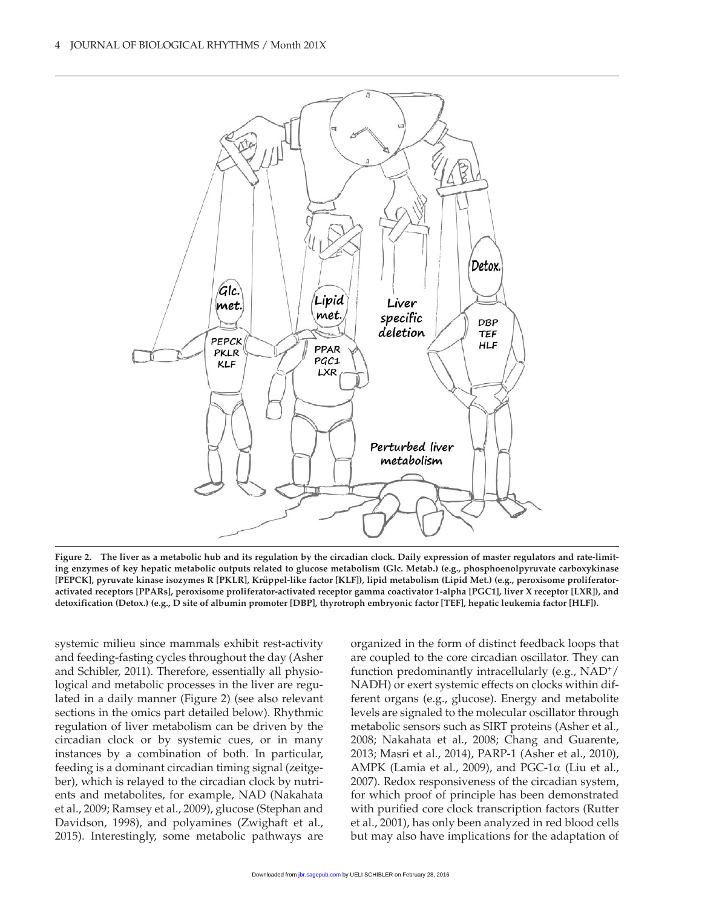

**Figure 2. The liver as a metabolic hub and its regulation by the circadian clock. Daily expression of master regulators and rate-limiting enzymes of key hepatic metabolic outputs related to glucose metabolism (Glc. Metab.) (e.g., phosphoenolpyruvate carboxykinase [PEPCK], pyruvate kinase isozymes R [PKLR], Krüppel-like factor [KLF]), lipid metabolism (Lipid Met.) (e.g., peroxisome proliferatoractivated receptors [PPARs], peroxisome proliferator-activated receptor gamma coactivator 1-alpha [PGC1], liver X receptor [LXR]), and detoxification (Detox.) (e.g., D site of albumin promoter [DBP], thyrotroph embryonic factor [TEF], hepatic leukemia factor [HLF]).**

systemic milieu since mammals exhibit rest-activity and feeding-fasting cycles throughout the day (Asher and Schibler, 2011). Therefore, essentially all physiological and metabolic processes in the liver are regulated in a daily manner (Figure 2) (see also relevant sections in the omics part detailed below). Rhythmic regulation of liver metabolism can be driven by the circadian clock or by systemic cues, or in many instances by a combination of both. In particular, feeding is a dominant circadian timing signal (zeitgeber), which is relayed to the circadian clock by nutrients and metabolites, for example, NAD (Nakahata et al., 2009; Ramsey et al., 2009), glucose (Stephan and Davidson, 1998), and polyamines (Zwighaft et al., 2015). Interestingly, some metabolic pathways are

organized in the form of distinct feedback loops that are coupled to the core circadian oscillator. They can function predominantly intracellularly (e.g., NAD+/ NADH) or exert systemic effects on clocks within different organs (e.g., glucose). Energy and metabolite levels are signaled to the molecular oscillator through metabolic sensors such as SIRT proteins (Asher et al., 2008; Nakahata et al., 2008; Chang and Guarente, 2013; Masri et al., 2014), PARP-1 (Asher et al., 2010), AMPK (Lamia et al., 2009), and PGC-1 $\alpha$  (Liu et al., 2007). Redox responsiveness of the circadian system, for which proof of principle has been demonstrated with purified core clock transcription factors (Rutter et al., 2001), has only been analyzed in red blood cells but may also have implications for the adaptation of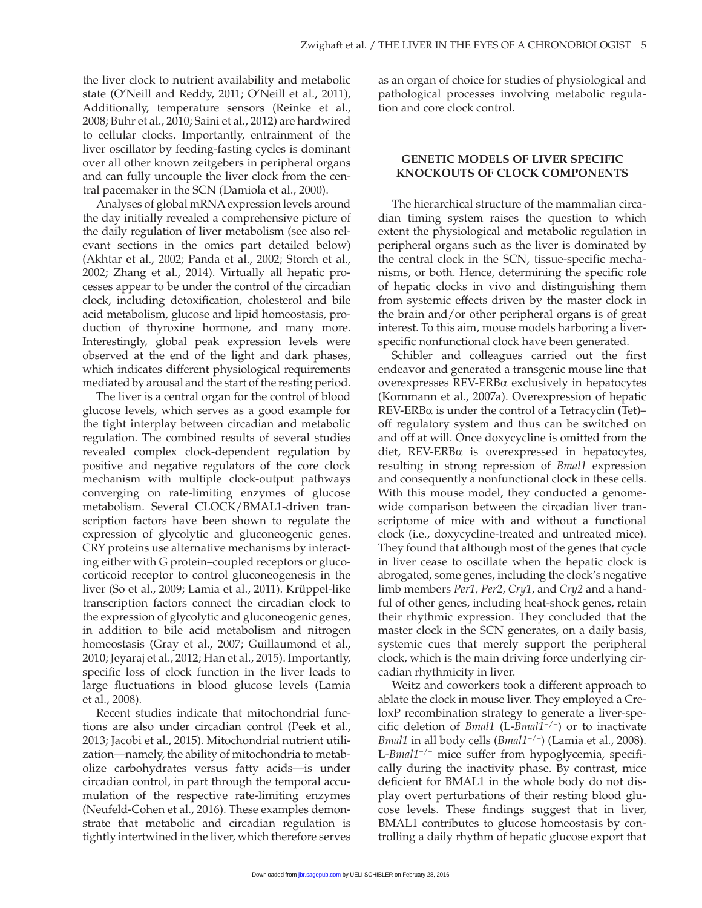the liver clock to nutrient availability and metabolic state (O'Neill and Reddy, 2011; O'Neill et al., 2011), Additionally, temperature sensors (Reinke et al., 2008; Buhr et al., 2010; Saini et al., 2012) are hardwired to cellular clocks. Importantly, entrainment of the liver oscillator by feeding-fasting cycles is dominant over all other known zeitgebers in peripheral organs and can fully uncouple the liver clock from the central pacemaker in the SCN (Damiola et al., 2000).

Analyses of global mRNA expression levels around the day initially revealed a comprehensive picture of the daily regulation of liver metabolism (see also relevant sections in the omics part detailed below) (Akhtar et al., 2002; Panda et al., 2002; Storch et al., 2002; Zhang et al., 2014). Virtually all hepatic processes appear to be under the control of the circadian clock, including detoxification, cholesterol and bile acid metabolism, glucose and lipid homeostasis, production of thyroxine hormone, and many more. Interestingly, global peak expression levels were observed at the end of the light and dark phases, which indicates different physiological requirements mediated by arousal and the start of the resting period.

The liver is a central organ for the control of blood glucose levels, which serves as a good example for the tight interplay between circadian and metabolic regulation. The combined results of several studies revealed complex clock-dependent regulation by positive and negative regulators of the core clock mechanism with multiple clock-output pathways converging on rate-limiting enzymes of glucose metabolism. Several CLOCK/BMAL1-driven transcription factors have been shown to regulate the expression of glycolytic and gluconeogenic genes. CRY proteins use alternative mechanisms by interacting either with G protein–coupled receptors or glucocorticoid receptor to control gluconeogenesis in the liver (So et al., 2009; Lamia et al., 2011). Krüppel-like transcription factors connect the circadian clock to the expression of glycolytic and gluconeogenic genes, in addition to bile acid metabolism and nitrogen homeostasis (Gray et al., 2007; Guillaumond et al., 2010; Jeyaraj et al., 2012; Han et al., 2015). Importantly, specific loss of clock function in the liver leads to large fluctuations in blood glucose levels (Lamia et al., 2008).

Recent studies indicate that mitochondrial functions are also under circadian control (Peek et al., 2013; Jacobi et al., 2015). Mitochondrial nutrient utilization—namely, the ability of mitochondria to metabolize carbohydrates versus fatty acids—is under circadian control, in part through the temporal accumulation of the respective rate-limiting enzymes (Neufeld-Cohen et al., 2016). These examples demonstrate that metabolic and circadian regulation is tightly intertwined in the liver, which therefore serves

as an organ of choice for studies of physiological and pathological processes involving metabolic regulation and core clock control.

# **Genetic Models of Liver Specific Knockouts of Clock Components**

The hierarchical structure of the mammalian circadian timing system raises the question to which extent the physiological and metabolic regulation in peripheral organs such as the liver is dominated by the central clock in the SCN, tissue-specific mechanisms, or both. Hence, determining the specific role of hepatic clocks in vivo and distinguishing them from systemic effects driven by the master clock in the brain and/or other peripheral organs is of great interest. To this aim, mouse models harboring a liverspecific nonfunctional clock have been generated.

Schibler and colleagues carried out the first endeavor and generated a transgenic mouse line that overexpresses REV-ERBα exclusively in hepatocytes (Kornmann et al., 2007a). Overexpression of hepatic  $REV$ -ERB $\alpha$  is under the control of a Tetracyclin (Tet)– off regulatory system and thus can be switched on and off at will. Once doxycycline is omitted from the diet, REV-ERBα is overexpressed in hepatocytes, resulting in strong repression of *Bmal1* expression and consequently a nonfunctional clock in these cells. With this mouse model, they conducted a genomewide comparison between the circadian liver transcriptome of mice with and without a functional clock (i.e., doxycycline-treated and untreated mice). They found that although most of the genes that cycle in liver cease to oscillate when the hepatic clock is abrogated, some genes, including the clock's negative limb members *Per1, Per2, Cry1*, and *Cry2* and a handful of other genes, including heat-shock genes, retain their rhythmic expression. They concluded that the master clock in the SCN generates, on a daily basis, systemic cues that merely support the peripheral clock, which is the main driving force underlying circadian rhythmicity in liver.

Weitz and coworkers took a different approach to ablate the clock in mouse liver. They employed a CreloxP recombination strategy to generate a liver-specific deletion of *Bmal1* (L-*Bmal1*−/−) or to inactivate *Bmal1* in all body cells (*Bmal1*−/−) (Lamia et al., 2008). L-*Bmal1*−/− mice suffer from hypoglycemia, specifically during the inactivity phase. By contrast, mice deficient for BMAL1 in the whole body do not display overt perturbations of their resting blood glucose levels. These findings suggest that in liver, BMAL1 contributes to glucose homeostasis by controlling a daily rhythm of hepatic glucose export that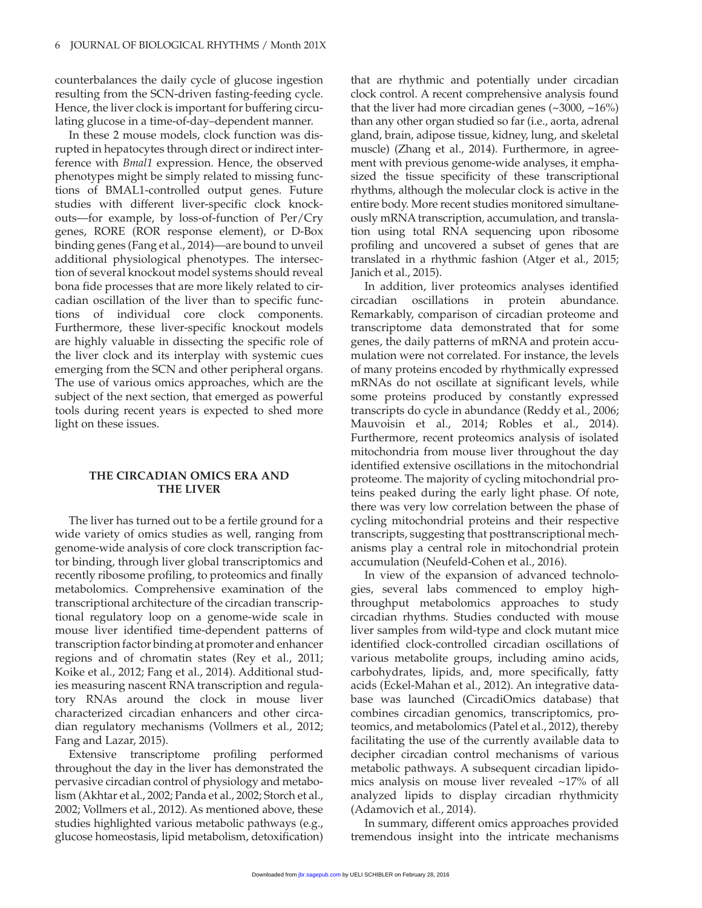counterbalances the daily cycle of glucose ingestion resulting from the SCN-driven fasting-feeding cycle. Hence, the liver clock is important for buffering circulating glucose in a time-of-day–dependent manner.

In these 2 mouse models, clock function was disrupted in hepatocytes through direct or indirect interference with *Bmal1* expression. Hence, the observed phenotypes might be simply related to missing functions of BMAL1-controlled output genes. Future studies with different liver-specific clock knockouts—for example, by loss-of-function of Per/Cry genes, RORE (ROR response element), or D-Box binding genes (Fang et al., 2014)—are bound to unveil additional physiological phenotypes. The intersection of several knockout model systems should reveal bona fide processes that are more likely related to circadian oscillation of the liver than to specific functions of individual core clock components. Furthermore, these liver-specific knockout models are highly valuable in dissecting the specific role of the liver clock and its interplay with systemic cues emerging from the SCN and other peripheral organs. The use of various omics approaches, which are the subject of the next section, that emerged as powerful tools during recent years is expected to shed more light on these issues.

## **The Circadian Omics Era and The Liver**

The liver has turned out to be a fertile ground for a wide variety of omics studies as well, ranging from genome-wide analysis of core clock transcription factor binding, through liver global transcriptomics and recently ribosome profiling, to proteomics and finally metabolomics. Comprehensive examination of the transcriptional architecture of the circadian transcriptional regulatory loop on a genome-wide scale in mouse liver identified time-dependent patterns of transcription factor binding at promoter and enhancer regions and of chromatin states (Rey et al., 2011; Koike et al., 2012; Fang et al., 2014). Additional studies measuring nascent RNA transcription and regulatory RNAs around the clock in mouse liver characterized circadian enhancers and other circadian regulatory mechanisms (Vollmers et al., 2012; Fang and Lazar, 2015).

Extensive transcriptome profiling performed throughout the day in the liver has demonstrated the pervasive circadian control of physiology and metabolism (Akhtar et al., 2002; Panda et al., 2002; Storch et al., 2002; Vollmers et al., 2012). As mentioned above, these studies highlighted various metabolic pathways (e.g., glucose homeostasis, lipid metabolism, detoxification)

that are rhythmic and potentially under circadian clock control. A recent comprehensive analysis found that the liver had more circadian genes  $(\sim 3000, \sim 16\%)$ than any other organ studied so far (i.e., aorta, adrenal gland, brain, adipose tissue, kidney, lung, and skeletal muscle) (Zhang et al., 2014). Furthermore, in agreement with previous genome-wide analyses, it emphasized the tissue specificity of these transcriptional rhythms, although the molecular clock is active in the entire body. More recent studies monitored simultaneously mRNA transcription, accumulation, and translation using total RNA sequencing upon ribosome profiling and uncovered a subset of genes that are translated in a rhythmic fashion (Atger et al., 2015; Janich et al., 2015).

In addition, liver proteomics analyses identified circadian oscillations in protein abundance. Remarkably, comparison of circadian proteome and transcriptome data demonstrated that for some genes, the daily patterns of mRNA and protein accumulation were not correlated. For instance, the levels of many proteins encoded by rhythmically expressed mRNAs do not oscillate at significant levels, while some proteins produced by constantly expressed transcripts do cycle in abundance (Reddy et al., 2006; Mauvoisin et al., 2014; Robles et al., 2014). Furthermore, recent proteomics analysis of isolated mitochondria from mouse liver throughout the day identified extensive oscillations in the mitochondrial proteome. The majority of cycling mitochondrial proteins peaked during the early light phase. Of note, there was very low correlation between the phase of cycling mitochondrial proteins and their respective transcripts, suggesting that posttranscriptional mechanisms play a central role in mitochondrial protein accumulation (Neufeld-Cohen et al., 2016).

In view of the expansion of advanced technologies, several labs commenced to employ highthroughput metabolomics approaches to study circadian rhythms. Studies conducted with mouse liver samples from wild-type and clock mutant mice identified clock-controlled circadian oscillations of various metabolite groups, including amino acids, carbohydrates, lipids, and, more specifically, fatty acids (Eckel-Mahan et al., 2012). An integrative database was launched (CircadiOmics database) that combines circadian genomics, transcriptomics, proteomics, and metabolomics (Patel et al., 2012), thereby facilitating the use of the currently available data to decipher circadian control mechanisms of various metabolic pathways. A subsequent circadian lipidomics analysis on mouse liver revealed ~17% of all analyzed lipids to display circadian rhythmicity (Adamovich et al., 2014).

In summary, different omics approaches provided tremendous insight into the intricate mechanisms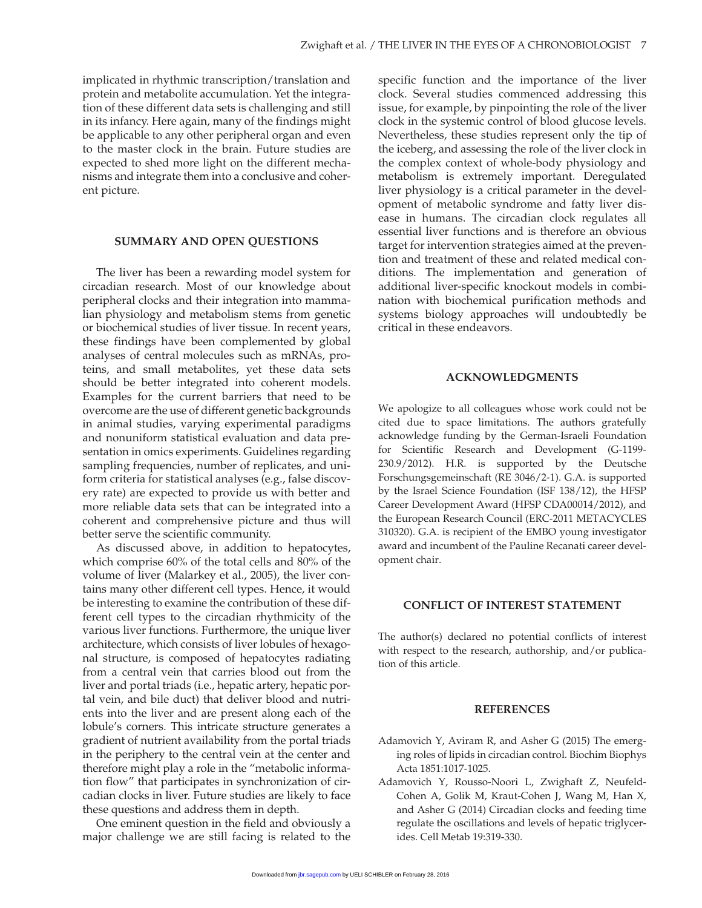implicated in rhythmic transcription/translation and protein and metabolite accumulation. Yet the integration of these different data sets is challenging and still in its infancy. Here again, many of the findings might be applicable to any other peripheral organ and even to the master clock in the brain. Future studies are expected to shed more light on the different mechanisms and integrate them into a conclusive and coherent picture.

## **Summary and Open Questions**

The liver has been a rewarding model system for circadian research. Most of our knowledge about peripheral clocks and their integration into mammalian physiology and metabolism stems from genetic or biochemical studies of liver tissue. In recent years, these findings have been complemented by global analyses of central molecules such as mRNAs, proteins, and small metabolites, yet these data sets should be better integrated into coherent models. Examples for the current barriers that need to be overcome are the use of different genetic backgrounds in animal studies, varying experimental paradigms and nonuniform statistical evaluation and data presentation in omics experiments. Guidelines regarding sampling frequencies, number of replicates, and uniform criteria for statistical analyses (e.g., false discovery rate) are expected to provide us with better and more reliable data sets that can be integrated into a coherent and comprehensive picture and thus will better serve the scientific community.

As discussed above, in addition to hepatocytes, which comprise 60% of the total cells and 80% of the volume of liver (Malarkey et al., 2005), the liver contains many other different cell types. Hence, it would be interesting to examine the contribution of these different cell types to the circadian rhythmicity of the various liver functions. Furthermore, the unique liver architecture, which consists of liver lobules of hexagonal structure, is composed of hepatocytes radiating from a central vein that carries blood out from the liver and portal triads (i.e., hepatic artery, hepatic portal vein, and bile duct) that deliver blood and nutrients into the liver and are present along each of the lobule's corners. This intricate structure generates a gradient of nutrient availability from the portal triads in the periphery to the central vein at the center and therefore might play a role in the "metabolic information flow" that participates in synchronization of circadian clocks in liver. Future studies are likely to face these questions and address them in depth.

One eminent question in the field and obviously a major challenge we are still facing is related to the specific function and the importance of the liver clock. Several studies commenced addressing this issue, for example, by pinpointing the role of the liver clock in the systemic control of blood glucose levels. Nevertheless, these studies represent only the tip of the iceberg, and assessing the role of the liver clock in the complex context of whole-body physiology and metabolism is extremely important. Deregulated liver physiology is a critical parameter in the development of metabolic syndrome and fatty liver disease in humans. The circadian clock regulates all essential liver functions and is therefore an obvious target for intervention strategies aimed at the prevention and treatment of these and related medical conditions. The implementation and generation of additional liver-specific knockout models in combination with biochemical purification methods and systems biology approaches will undoubtedly be critical in these endeavors.

### **Acknowledgments**

We apologize to all colleagues whose work could not be cited due to space limitations. The authors gratefully acknowledge funding by the German-Israeli Foundation for Scientific Research and Development (G-1199- 230.9/2012). H.R. is supported by the Deutsche Forschungsgemeinschaft (RE 3046/2-1). G.A. is supported by the Israel Science Foundation (ISF 138/12), the HFSP Career Development Award (HFSP CDA00014/2012), and the European Research Council (ERC-2011 METACYCLES 310320). G.A. is recipient of the EMBO young investigator award and incumbent of the Pauline Recanati career development chair.

## **Conflict of Interest Statement**

The author(s) declared no potential conflicts of interest with respect to the research, authorship, and/or publication of this article.

#### **References**

- Adamovich Y, Aviram R, and Asher G (2015) The emerging roles of lipids in circadian control. Biochim Biophys Acta 1851:1017-1025.
- Adamovich Y, Rousso-Noori L, Zwighaft Z, Neufeld-Cohen A, Golik M, Kraut-Cohen J, Wang M, Han X, and Asher G (2014) Circadian clocks and feeding time regulate the oscillations and levels of hepatic triglycerides. Cell Metab 19:319-330.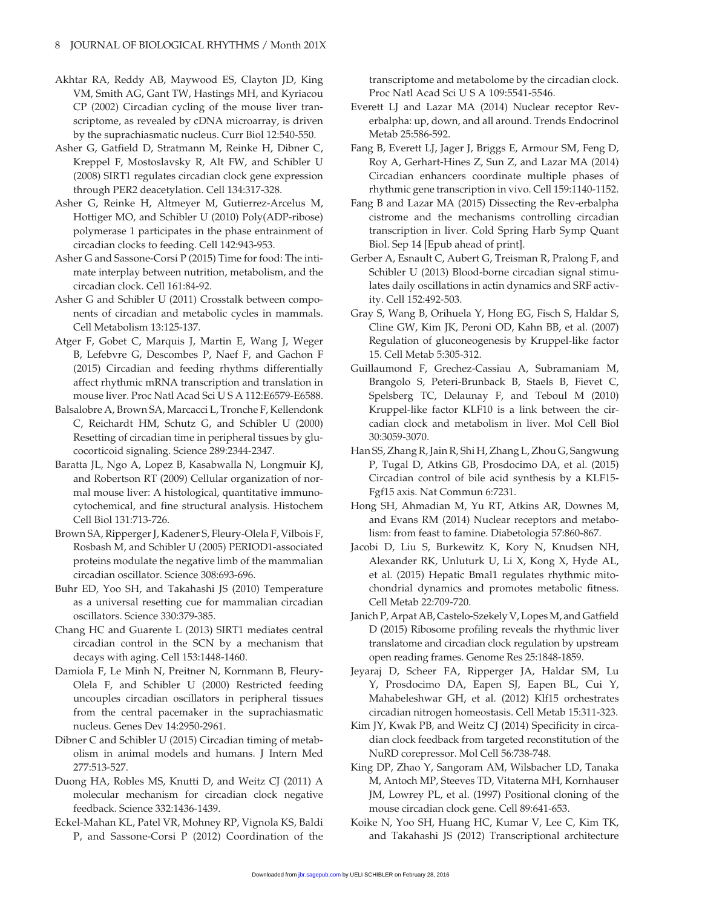- Akhtar RA, Reddy AB, Maywood ES, Clayton JD, King VM, Smith AG, Gant TW, Hastings MH, and Kyriacou CP (2002) Circadian cycling of the mouse liver transcriptome, as revealed by cDNA microarray, is driven by the suprachiasmatic nucleus. Curr Biol 12:540-550.
- Asher G, Gatfield D, Stratmann M, Reinke H, Dibner C, Kreppel F, Mostoslavsky R, Alt FW, and Schibler U (2008) SIRT1 regulates circadian clock gene expression through PER2 deacetylation. Cell 134:317-328.
- Asher G, Reinke H, Altmeyer M, Gutierrez-Arcelus M, Hottiger MO, and Schibler U (2010) Poly(ADP-ribose) polymerase 1 participates in the phase entrainment of circadian clocks to feeding. Cell 142:943-953.
- Asher G and Sassone-Corsi P (2015) Time for food: The intimate interplay between nutrition, metabolism, and the circadian clock. Cell 161:84-92.
- Asher G and Schibler U (2011) Crosstalk between components of circadian and metabolic cycles in mammals. Cell Metabolism 13:125-137.
- Atger F, Gobet C, Marquis J, Martin E, Wang J, Weger B, Lefebvre G, Descombes P, Naef F, and Gachon F (2015) Circadian and feeding rhythms differentially affect rhythmic mRNA transcription and translation in mouse liver. Proc Natl Acad Sci U S A 112:E6579-E6588.
- Balsalobre A, Brown SA, Marcacci L, Tronche F, Kellendonk C, Reichardt HM, Schutz G, and Schibler U (2000) Resetting of circadian time in peripheral tissues by glucocorticoid signaling. Science 289:2344-2347.
- Baratta JL, Ngo A, Lopez B, Kasabwalla N, Longmuir KJ, and Robertson RT (2009) Cellular organization of normal mouse liver: A histological, quantitative immunocytochemical, and fine structural analysis. Histochem Cell Biol 131:713-726.
- Brown SA, Ripperger J, Kadener S, Fleury-Olela F, Vilbois F, Rosbash M, and Schibler U (2005) PERIOD1-associated proteins modulate the negative limb of the mammalian circadian oscillator. Science 308:693-696.
- Buhr ED, Yoo SH, and Takahashi JS (2010) Temperature as a universal resetting cue for mammalian circadian oscillators. Science 330:379-385.
- Chang HC and Guarente L (2013) SIRT1 mediates central circadian control in the SCN by a mechanism that decays with aging. Cell 153:1448-1460.
- Damiola F, Le Minh N, Preitner N, Kornmann B, Fleury-Olela F, and Schibler U (2000) Restricted feeding uncouples circadian oscillators in peripheral tissues from the central pacemaker in the suprachiasmatic nucleus. Genes Dev 14:2950-2961.
- Dibner C and Schibler U (2015) Circadian timing of metabolism in animal models and humans. J Intern Med 277:513-527.
- Duong HA, Robles MS, Knutti D, and Weitz CJ (2011) A molecular mechanism for circadian clock negative feedback. Science 332:1436-1439.
- Eckel-Mahan KL, Patel VR, Mohney RP, Vignola KS, Baldi P, and Sassone-Corsi P (2012) Coordination of the

transcriptome and metabolome by the circadian clock. Proc Natl Acad Sci U S A 109:5541-5546.

- Everett LJ and Lazar MA (2014) Nuclear receptor Reverbalpha: up, down, and all around. Trends Endocrinol Metab 25:586-592.
- Fang B, Everett LJ, Jager J, Briggs E, Armour SM, Feng D, Roy A, Gerhart-Hines Z, Sun Z, and Lazar MA (2014) Circadian enhancers coordinate multiple phases of rhythmic gene transcription in vivo. Cell 159:1140-1152.
- Fang B and Lazar MA (2015) Dissecting the Rev-erbalpha cistrome and the mechanisms controlling circadian transcription in liver. Cold Spring Harb Symp Quant Biol. Sep 14 [Epub ahead of print].
- Gerber A, Esnault C, Aubert G, Treisman R, Pralong F, and Schibler U (2013) Blood-borne circadian signal stimulates daily oscillations in actin dynamics and SRF activity. Cell 152:492-503.
- Gray S, Wang B, Orihuela Y, Hong EG, Fisch S, Haldar S, Cline GW, Kim JK, Peroni OD, Kahn BB, et al. (2007) Regulation of gluconeogenesis by Kruppel-like factor 15. Cell Metab 5:305-312.
- Guillaumond F, Grechez-Cassiau A, Subramaniam M, Brangolo S, Peteri-Brunback B, Staels B, Fievet C, Spelsberg TC, Delaunay F, and Teboul M (2010) Kruppel-like factor KLF10 is a link between the circadian clock and metabolism in liver. Mol Cell Biol 30:3059-3070.
- Han SS, Zhang R, Jain R, Shi H, Zhang L, Zhou G, Sangwung P, Tugal D, Atkins GB, Prosdocimo DA, et al. (2015) Circadian control of bile acid synthesis by a KLF15- Fgf15 axis. Nat Commun 6:7231.
- Hong SH, Ahmadian M, Yu RT, Atkins AR, Downes M, and Evans RM (2014) Nuclear receptors and metabolism: from feast to famine. Diabetologia 57:860-867.
- Jacobi D, Liu S, Burkewitz K, Kory N, Knudsen NH, Alexander RK, Unluturk U, Li X, Kong X, Hyde AL, et al. (2015) Hepatic Bmal1 regulates rhythmic mitochondrial dynamics and promotes metabolic fitness. Cell Metab 22:709-720.
- Janich P, Arpat AB, Castelo-Szekely V, Lopes M, and Gatfield D (2015) Ribosome profiling reveals the rhythmic liver translatome and circadian clock regulation by upstream open reading frames. Genome Res 25:1848-1859.
- Jeyaraj D, Scheer FA, Ripperger JA, Haldar SM, Lu Y, Prosdocimo DA, Eapen SJ, Eapen BL, Cui Y, Mahabeleshwar GH, et al. (2012) Klf15 orchestrates circadian nitrogen homeostasis. Cell Metab 15:311-323.
- Kim JY, Kwak PB, and Weitz CJ (2014) Specificity in circadian clock feedback from targeted reconstitution of the NuRD corepressor. Mol Cell 56:738-748.
- King DP, Zhao Y, Sangoram AM, Wilsbacher LD, Tanaka M, Antoch MP, Steeves TD, Vitaterna MH, Kornhauser JM, Lowrey PL, et al. (1997) Positional cloning of the mouse circadian clock gene. Cell 89:641-653.
- Koike N, Yoo SH, Huang HC, Kumar V, Lee C, Kim TK, and Takahashi JS (2012) Transcriptional architecture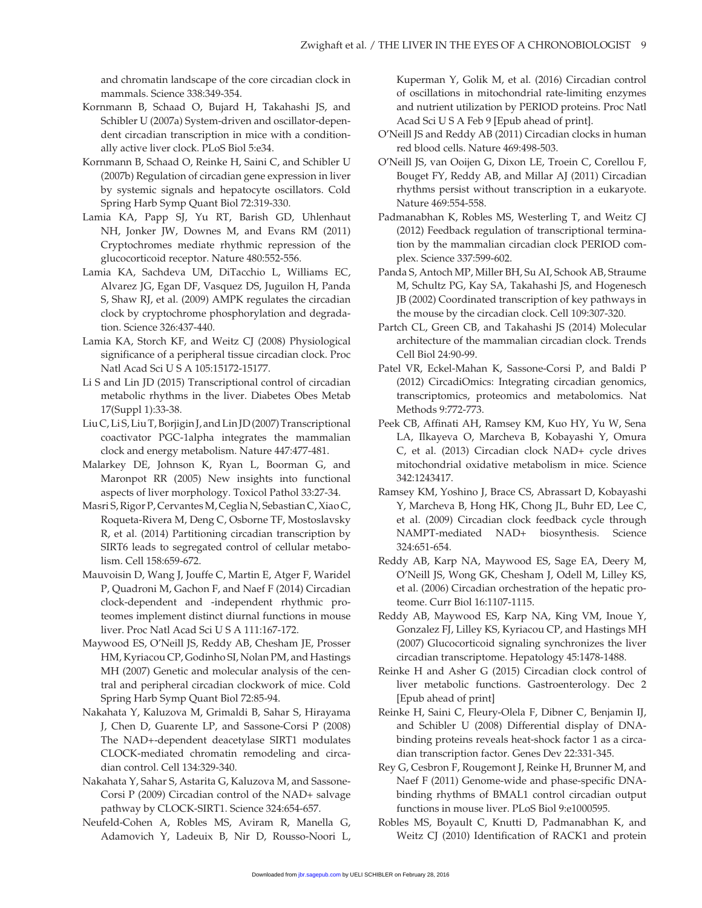and chromatin landscape of the core circadian clock in mammals. Science 338:349-354.

- Kornmann B, Schaad O, Bujard H, Takahashi JS, and Schibler U (2007a) System-driven and oscillator-dependent circadian transcription in mice with a conditionally active liver clock. PLoS Biol 5:e34.
- Kornmann B, Schaad O, Reinke H, Saini C, and Schibler U (2007b) Regulation of circadian gene expression in liver by systemic signals and hepatocyte oscillators. Cold Spring Harb Symp Quant Biol 72:319-330.
- Lamia KA, Papp SJ, Yu RT, Barish GD, Uhlenhaut NH, Jonker JW, Downes M, and Evans RM (2011) Cryptochromes mediate rhythmic repression of the glucocorticoid receptor. Nature 480:552-556.
- Lamia KA, Sachdeva UM, DiTacchio L, Williams EC, Alvarez JG, Egan DF, Vasquez DS, Juguilon H, Panda S, Shaw RJ, et al. (2009) AMPK regulates the circadian clock by cryptochrome phosphorylation and degradation. Science 326:437-440.
- Lamia KA, Storch KF, and Weitz CJ (2008) Physiological significance of a peripheral tissue circadian clock. Proc Natl Acad Sci U S A 105:15172-15177.
- Li S and Lin JD (2015) Transcriptional control of circadian metabolic rhythms in the liver. Diabetes Obes Metab 17(Suppl 1):33-38.
- Liu C, Li S, Liu T, Borjigin J, and Lin JD (2007) Transcriptional coactivator PGC-1alpha integrates the mammalian clock and energy metabolism. Nature 447:477-481.
- Malarkey DE, Johnson K, Ryan L, Boorman G, and Maronpot RR (2005) New insights into functional aspects of liver morphology. Toxicol Pathol 33:27-34.
- Masri S, Rigor P, Cervantes M, Ceglia N, Sebastian C, Xiao C, Roqueta-Rivera M, Deng C, Osborne TF, Mostoslavsky R, et al. (2014) Partitioning circadian transcription by SIRT6 leads to segregated control of cellular metabolism. Cell 158:659-672.
- Mauvoisin D, Wang J, Jouffe C, Martin E, Atger F, Waridel P, Quadroni M, Gachon F, and Naef F (2014) Circadian clock-dependent and -independent rhythmic proteomes implement distinct diurnal functions in mouse liver. Proc Natl Acad Sci U S A 111:167-172.
- Maywood ES, O'Neill JS, Reddy AB, Chesham JE, Prosser HM, Kyriacou CP, Godinho SI, Nolan PM, and Hastings MH (2007) Genetic and molecular analysis of the central and peripheral circadian clockwork of mice. Cold Spring Harb Symp Quant Biol 72:85-94.
- Nakahata Y, Kaluzova M, Grimaldi B, Sahar S, Hirayama J, Chen D, Guarente LP, and Sassone-Corsi P (2008) The NAD+-dependent deacetylase SIRT1 modulates CLOCK-mediated chromatin remodeling and circadian control. Cell 134:329-340.
- Nakahata Y, Sahar S, Astarita G, Kaluzova M, and Sassone-Corsi P (2009) Circadian control of the NAD+ salvage pathway by CLOCK-SIRT1. Science 324:654-657.
- Neufeld-Cohen A, Robles MS, Aviram R, Manella G, Adamovich Y, Ladeuix B, Nir D, Rousso-Noori L,

Kuperman Y, Golik M, et al. (2016) Circadian control of oscillations in mitochondrial rate-limiting enzymes and nutrient utilization by PERIOD proteins. Proc Natl Acad Sci U S A Feb 9 [Epub ahead of print].

- O'Neill JS and Reddy AB (2011) Circadian clocks in human red blood cells. Nature 469:498-503.
- O'Neill JS, van Ooijen G, Dixon LE, Troein C, Corellou F, Bouget FY, Reddy AB, and Millar AJ (2011) Circadian rhythms persist without transcription in a eukaryote. Nature 469:554-558.
- Padmanabhan K, Robles MS, Westerling T, and Weitz CJ (2012) Feedback regulation of transcriptional termination by the mammalian circadian clock PERIOD complex. Science 337:599-602.
- Panda S, Antoch MP, Miller BH, Su AI, Schook AB, Straume M, Schultz PG, Kay SA, Takahashi JS, and Hogenesch JB (2002) Coordinated transcription of key pathways in the mouse by the circadian clock. Cell 109:307-320.
- Partch CL, Green CB, and Takahashi JS (2014) Molecular architecture of the mammalian circadian clock. Trends Cell Biol 24:90-99.
- Patel VR, Eckel-Mahan K, Sassone-Corsi P, and Baldi P (2012) CircadiOmics: Integrating circadian genomics, transcriptomics, proteomics and metabolomics. Nat Methods 9:772-773.
- Peek CB, Affinati AH, Ramsey KM, Kuo HY, Yu W, Sena LA, Ilkayeva O, Marcheva B, Kobayashi Y, Omura C, et al. (2013) Circadian clock NAD+ cycle drives mitochondrial oxidative metabolism in mice. Science 342:1243417.
- Ramsey KM, Yoshino J, Brace CS, Abrassart D, Kobayashi Y, Marcheva B, Hong HK, Chong JL, Buhr ED, Lee C, et al. (2009) Circadian clock feedback cycle through NAMPT-mediated NAD+ biosynthesis. Science 324:651-654.
- Reddy AB, Karp NA, Maywood ES, Sage EA, Deery M, O'Neill JS, Wong GK, Chesham J, Odell M, Lilley KS, et al. (2006) Circadian orchestration of the hepatic proteome. Curr Biol 16:1107-1115.
- Reddy AB, Maywood ES, Karp NA, King VM, Inoue Y, Gonzalez FJ, Lilley KS, Kyriacou CP, and Hastings MH (2007) Glucocorticoid signaling synchronizes the liver circadian transcriptome. Hepatology 45:1478-1488.
- Reinke H and Asher G (2015) Circadian clock control of liver metabolic functions. Gastroenterology. Dec 2 [Epub ahead of print]
- Reinke H, Saini C, Fleury-Olela F, Dibner C, Benjamin IJ, and Schibler U (2008) Differential display of DNAbinding proteins reveals heat-shock factor 1 as a circadian transcription factor. Genes Dev 22:331-345.
- Rey G, Cesbron F, Rougemont J, Reinke H, Brunner M, and Naef F (2011) Genome-wide and phase-specific DNAbinding rhythms of BMAL1 control circadian output functions in mouse liver. PLoS Biol 9:e1000595.
- Robles MS, Boyault C, Knutti D, Padmanabhan K, and Weitz CJ (2010) Identification of RACK1 and protein